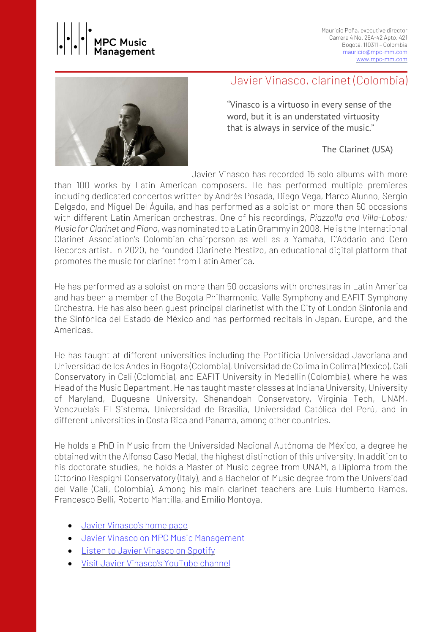

Mauricio Peña, executive director Carrera 4 No. 26A-42 Apto. 421 Bogotá, 110311 – Colombia [mauricio@mpc-mm.com](mailto:mauricio@mpc-mm.com) [www.mpc-mm.com](http://www.mpc-mm.com/)



### Javier Vinasco, clarinet (Colombia)

"Vinasco is a virtuoso in every sense of the word, but it is an understated virtuosity that is always in service of the music."

The Clarinet (USA)

Javier Vinasco has recorded 15 solo albums with more

than 100 works by Latin American composers. He has performed multiple premieres including dedicated concertos written by Andrés Posada, Diego Vega, Marco Alunno, Sergio Delgado, and Miguel Del Águila, and has performed as a soloist on more than 50 occasions with different Latin American orchestras. One of his recordings, *Piazzolla and Villa-Lobos: Music for Clarinet and Piano*,was nominated to a Latin Grammy in 2008.He is the International Clarinet Association's Colombian chairperson as well as a Yamaha, D'Addario and Cero Records artist. In 2020, he founded Clarinete Mestizo, an educational digital platform that promotes the music for clarinet from Latin America.

He has performed as a soloist on more than 50 occasions with orchestras in Latin America and has been a member of the Bogota Philharmonic, Valle Symphony and EAFIT Symphony Orchestra. He has also been guest principal clarinetist with the City of London Sinfonia and the Sinfónica del Estado de México and has performed recitals in Japan, Europe, and the Americas.

He has taught at different universities including the Pontificia Universidad Javeriana and Universidad de los Andes in Bogota (Colombia), Universidad de Colima in Colima (Mexico), Cali Conservatory in Cali (Colombia), and EAFIT University in Medellin (Colombia), where he was Head of the Music Department. He has taught master classes at Indiana University, University of Maryland, Duquesne University, Shenandoah Conservatory, Virginia Tech, UNAM, Venezuela's El Sistema, Universidad de Brasilia, Universidad Católica del Perú, and in different universities in Costa Rica and Panama, among other countries.

He holds a PhD in Music from the Universidad Nacional Autónoma de México, a degree he obtained with the Alfonso Caso Medal, the highest distinction of this university. In addition to his doctorate studies, he holds a Master of Music degree from UNAM, a Diploma from the Ottorino Respighi Conservatory (Italy), and a Bachelor of Music degree from the Universidad del Valle (Cali, Colombia). Among his main clarinet teachers are Luis Humberto Ramos, Francesco Belli, Roberto Mantilla, and Emilio Montoya.

- Javier [Vinasco's](https://javiervinasco.com/) home page
- Javier Vinasco on MPC Music [Management](https://www.mpc-mm.com/javier-vinasco)
- Listen to Javier [Vinasco](https://open.spotify.com/artist/4qBGPPA446kUVIZoaz2IVQ?si=9WGMMKXdRMal5Cl4XQ8LWg) on Spotify
- Visit Javier [Vinasco's](https://www.youtube.com/channel/UCGmfSvnes13twbZ_GSC_11g) YouTube channel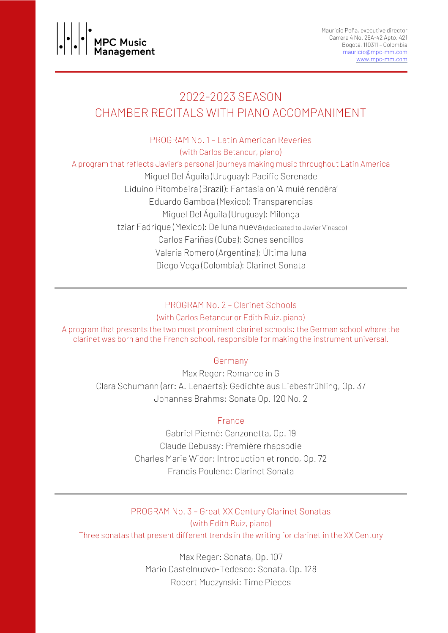

# 2022-2023 SEASON CHAMBER RECITALS WITH PIANO ACCOMPANIMENT

PROGRAM No. 1 – Latin American Reveries (with Carlos Betancur, piano)

A program that reflects Javier's personal journeys making music throughout Latin America

Miguel Del Águila (Uruguay): Pacific Serenade Liduino Pitombeira (Brazil): Fantasia on 'A muié rendêra' Eduardo Gamboa (Mexico): Transparencias Miguel Del Águila (Uruguay): Milonga Itziar Fadrique (Mexico): De luna nueva (dedicated to Javier Vinasco) Carlos Fariñas (Cuba): Sones sencillos Valeria Romero (Argentina): Última luna Diego Vega (Colombia): Clarinet Sonata

#### PROGRAM No. 2 – Clarinet Schools

(with Carlos Betancur or Edith Ruiz, piano) A program that presents the two most prominent clarinet schools: the German school where the clarinet was born and the French school, responsible for making the instrument universal.

#### Germany

Max Reger: Romance in G Clara Schumann (arr: A. Lenaerts): Gedichte aus Liebesfrühling, Op. 37 Johannes Brahms: Sonata Op. 120 No. 2

#### France

Gabriel Pierné: Canzonetta, Op. 19 Claude Debussy: Première rhapsodie Charles Marie Widor: Introduction et rondo, Op. 72 Francis Poulenc: Clarinet Sonata

PROGRAM No. 3 – Great XX Century Clarinet Sonatas (with Edith Ruiz, piano)

Three sonatas that present different trends in the writing for clarinet in the XX Century

Max Reger: Sonata, Op. 107 Mario Castelnuovo-Tedesco: Sonata, Op. 128 Robert Muczynski: Time Pieces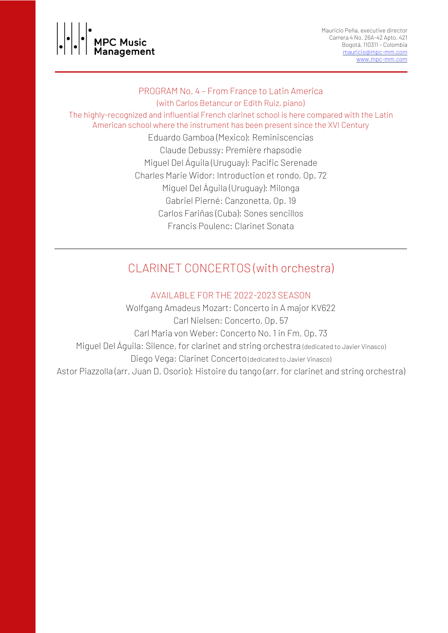

#### PROGRAM No. 4 – From France to Latin America

(with Carlos Betancur or Edith Ruiz, piano)

The highly-recognized and influential French clarinet school is here compared with the Latin American school where the instrument has been present since the XVI Century

> Eduardo Gamboa (Mexico): Reminiscencias Claude Debussy: Première rhapsodie Miguel Del Águila (Uruguay): Pacific Serenade Charles Marie Widor: Introduction et rondo, Op. 72 Miguel Del Águila (Uruguay): Milonga Gabriel Pierné: Canzonetta, Op. 19 Carlos Fariñas (Cuba): Sones sencillos Francis Poulenc: Clarinet Sonata

# CLARINET CONCERTOS (with orchestra)

#### AVAILABLE FOR THE 2022-2023 SEASON

Wolfgang Amadeus Mozart: Concerto in A major KV622 Carl Nielsen: Concerto, Op. 57 Carl Maria von Weber: Concerto No. 1 in Fm, Op. 73 Miguel Del Águila: Silence, for clarinet and string orchestra (dedicated to Javier Vinasco) Diego Vega: Clarinet Concerto (dedicated to Javier Vinasco) Astor Piazzolla (arr. Juan D. Osorio): Histoire du tango (arr. for clarinet and string orchestra)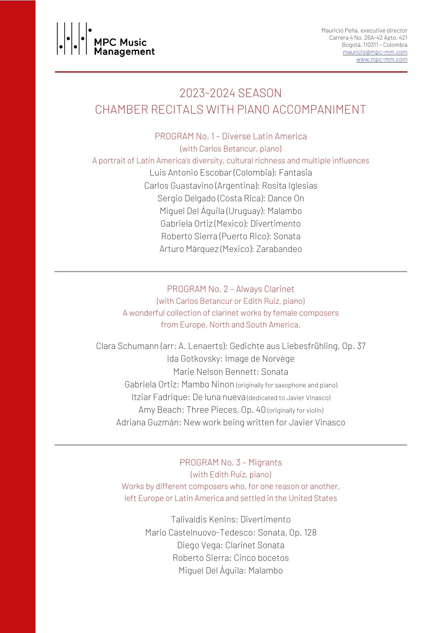

# 2023-2024 SEASON CHAMBER RECITALS WITH PIANO ACCOMPANIMENT

PROGRAM No. 1 – Diverse Latin America (with Carlos Betancur, piano) A portrait of Latin America's diversity, cultural richness and multiple influences Luis Antonio Escobar (Colombia): Fantasia Carlos Guastavino (Argentina): Rosita Iglesias Sergio Delgado (Costa Rica): Dance On Miguel Del Águila (Uruguay): Malambo Gabriela Ortiz (Mexico): Divertimento Roberto Sierra (Puerto Rico): Sonata Arturo Márquez (Mexico): Zarabandeo

> PROGRAM No. 2 – Always Clarinet (with Carlos Betancur or Edith Ruiz, piano) A wonderful collection of clarinet works by female composers from Europe, North and South America.

Clara Schumann (arr: A. Lenaerts): Gedichte aus Liebesfrühling, Op. 37 Ida Gotkovsky: Image de Norvège Marie Nelson Bennett: Sonata Gabriela Ortiz: Mambo Ninon (originally for saxophone and piano) Itziar Fadrique: De luna nueva (dedicated to Javier Vinasco) Amy Beach: Three Pieces, Op. 40 (originally for violin) Adriana Guzmán: New work being written for Javier Vinasco

PROGRAM No. 3 – Migrants (with Edith Ruiz, piano) Works by different composers who, for one reason or another, left Europe or Latin America and settled in the United States

> Talivaldis Kenins: Divertimento Mario Castelnuovo-Tedesco: Sonata, Op. 128 Diego Vega: Clarinet Sonata Roberto Sierra: Cinco bocetos Miguel Del Águila: Malambo